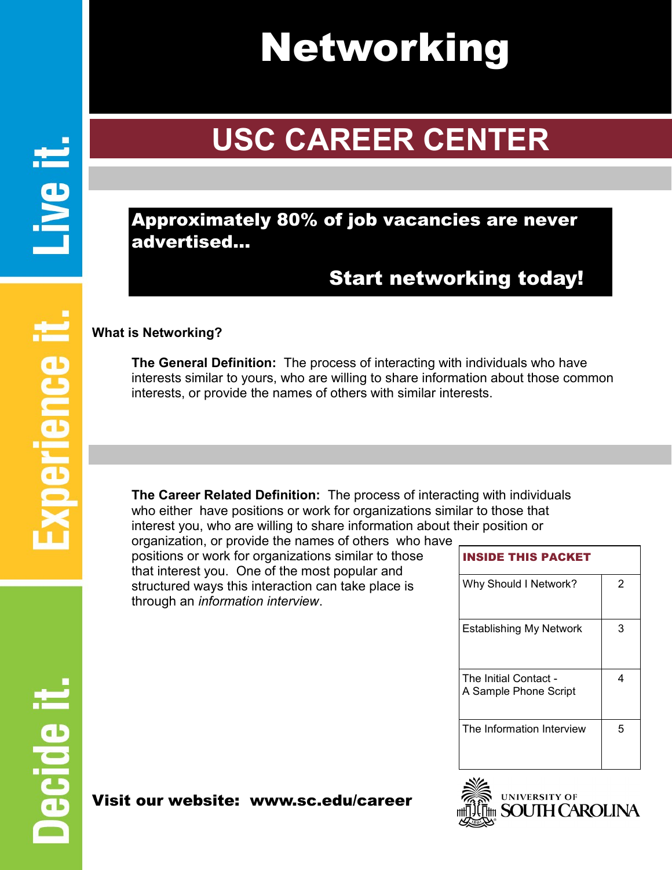# Networking

# **USC CAREER CENTER**

### Approximately 80% of job vacancies are never advertised…

### Start networking today!

#### **What is Networking?**

**The General Definition:** The process of interacting with individuals who have interests similar to yours, who are willing to share information about those common interests, or provide the names of others with similar interests.

**The Career Related Definition:** The process of interacting with individuals who either have positions or work for organizations similar to those that interest you, who are willing to share information about their position or

organization, or provide the names of others who have positions or work for organizations similar to those that interest you. One of the most popular and structured ways this interaction can take place is through an *information interview*.

| <b>INSIDE THIS PACKET</b>                      |   |
|------------------------------------------------|---|
| Why Should I Network?                          | 2 |
| <b>Establishing My Network</b>                 | З |
| The Initial Contact -<br>A Sample Phone Script | 4 |
| The Information Interview                      | 5 |



### Visit our website: www.sc.edu/career

**Il 9vi**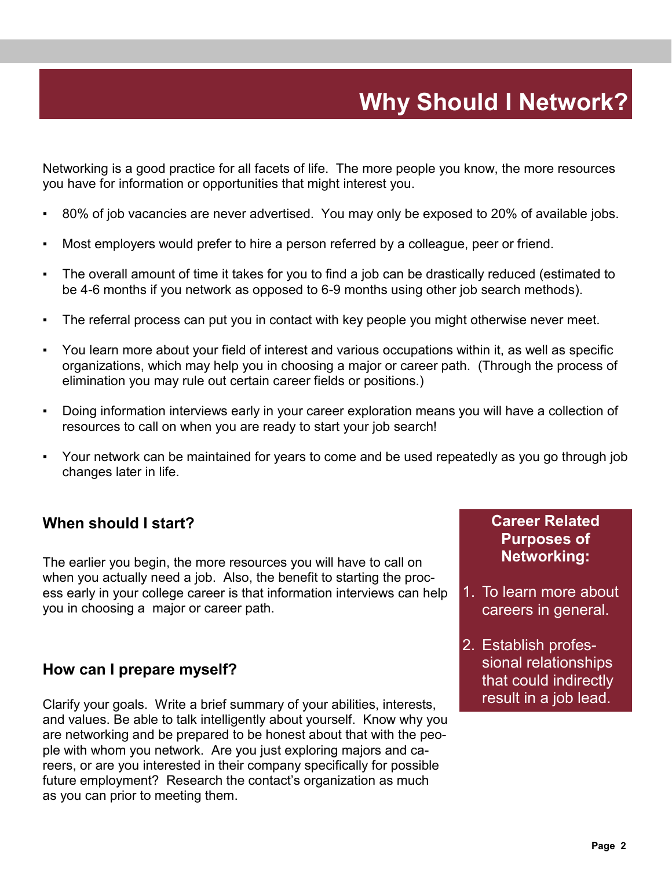# **Why Should I Network?**

Networking is a good practice for all facets of life. The more people you know, the more resources you have for information or opportunities that might interest you.

- 80% of job vacancies are never advertised. You may only be exposed to 20% of available jobs.
- Most employers would prefer to hire a person referred by a colleague, peer or friend.
- The overall amount of time it takes for you to find a job can be drastically reduced (estimated to be 4-6 months if you network as opposed to 6-9 months using other job search methods).
- The referral process can put you in contact with key people you might otherwise never meet.
- You learn more about your field of interest and various occupations within it, as well as specific organizations, which may help you in choosing a major or career path. (Through the process of elimination you may rule out certain career fields or positions.)
- Doing information interviews early in your career exploration means you will have a collection of resources to call on when you are ready to start your job search!
- Your network can be maintained for years to come and be used repeatedly as you go through job changes later in life.

#### **When should I start?**

The earlier you begin, the more resources you will have to call on when you actually need a job. Also, the benefit to starting the process early in your college career is that information interviews can help you in choosing a major or career path.

#### **How can I prepare myself?**

Clarify your goals. Write a brief summary of your abilities, interests, **Clarify your goals.** Write a brief summary of your abilities, interests, and values. Be able to talk intelligently about yourself. Know why you are networking and be prepared to be honest about that with the people with whom you network. Are you just exploring majors and careers, or are you interested in their company specifically for possible future employment? Research the contact's organization as much as you can prior to meeting them.

#### **Career Related Purposes of Networking:**

- 1. To learn more about careers in general.
- 2. Establish professional relationships that could indirectly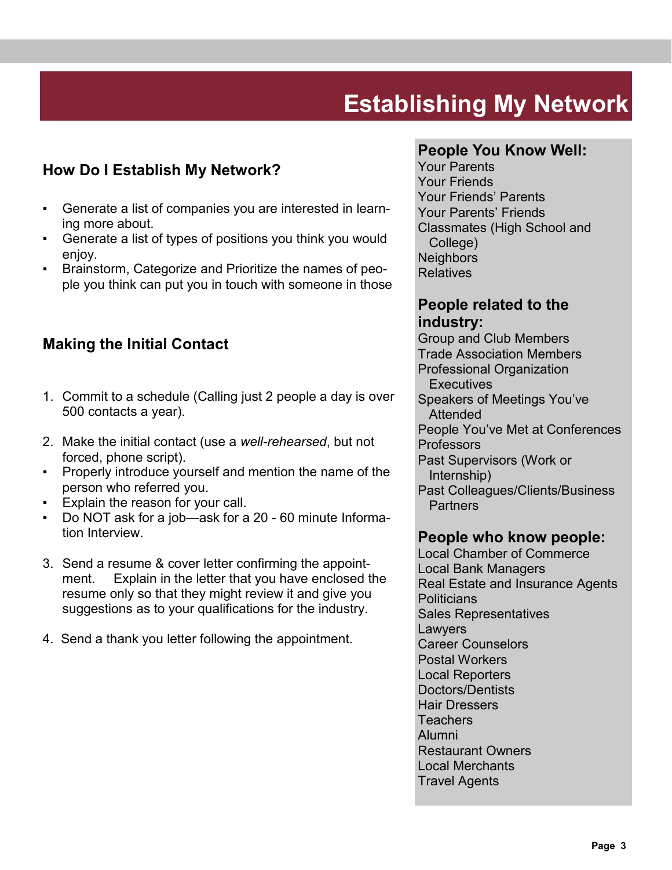# **Establishing My Network**

#### **How Do I Establish My Network?**

- Generate a list of companies you are interested in learning more about.
- Generate a list of types of positions you think you would enjoy.
- Brainstorm, Categorize and Prioritize the names of people you think can put you in touch with someone in those

#### **Making the Initial Contact**

- 1. Commit to a schedule (Calling just 2 people a day is over 500 contacts a year).
- 2. Make the initial contact (use a *well-rehearsed*, but not forced, phone script).
- Properly introduce yourself and mention the name of the person who referred you.
- **Explain the reason for your call.**
- Do NOT ask for a job—ask for a 20 60 minute Information Interview.
- 3. Send a resume & cover letter confirming the appointment. Explain in the letter that you have enclosed the resume only so that they might review it and give you suggestions as to your qualifications for the industry.
- 4. Send a thank you letter following the appointment.

#### **People You Know Well:**

Your Parents Your Friends Your Friends' Parents Your Parents' Friends Classmates (High School and College) **Neighbors** Relatives

#### **People related to the industry:**

Group and Club Members Trade Association Members Professional Organization **Executives** Speakers of Meetings You've Attended People You've Met at Conferences **Professors** Past Supervisors (Work or Internship) Past Colleagues/Clients/Business **Partners** 

#### **People who know people:**

Local Chamber of Commerce Local Bank Managers Real Estate and Insurance Agents **Politicians** Sales Representatives Lawyers Career Counselors Postal Workers Local Reporters Doctors/Dentists Hair Dressers **Teachers** Alumni Restaurant Owners Local Merchants Travel Agents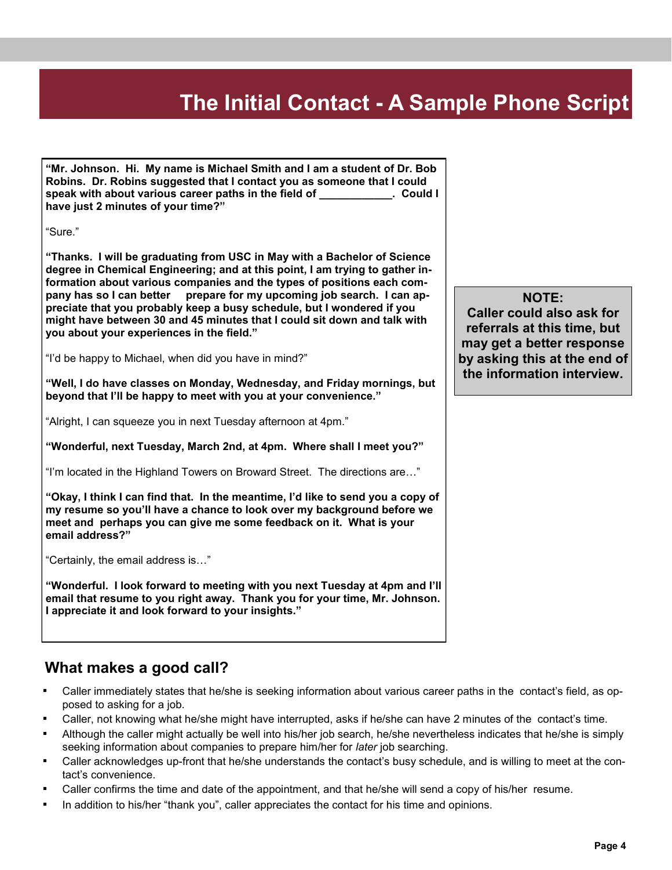### **The Initial Contact - A Sample Phone Script**

**"Mr. Johnson. Hi. My name is Michael Smith and I am a student of Dr. Bob Robins. Dr. Robins suggested that I contact you as someone that I could speak with about various career paths in the field of \_\_\_\_\_\_\_\_\_\_\_\_. Could I have just 2 minutes of your time?"**

"Sure."

**"Thanks. I will be graduating from USC in May with a Bachelor of Science degree in Chemical Engineering; and at this point, I am trying to gather information about various companies and the types of positions each company has so I can better prepare for my upcoming job search. I can appreciate that you probably keep a busy schedule, but I wondered if you might have between 30 and 45 minutes that I could sit down and talk with you about your experiences in the field."**

"I'd be happy to Michael, when did you have in mind?"

**"Well, I do have classes on Monday, Wednesday, and Friday mornings, but beyond that I'll be happy to meet with you at your convenience."**

"Alright, I can squeeze you in next Tuesday afternoon at 4pm."

**"Wonderful, next Tuesday, March 2nd, at 4pm. Where shall I meet you?"**

"I'm located in the Highland Towers on Broward Street. The directions are…"

**"Okay, I think I can find that. In the meantime, I'd like to send you a copy of my resume so you'll have a chance to look over my background before we meet and perhaps you can give me some feedback on it. What is your email address?"**

"Certainly, the email address is…"

**"Wonderful. I look forward to meeting with you next Tuesday at 4pm and I'll email that resume to you right away. Thank you for your time, Mr. Johnson. I appreciate it and look forward to your insights."**

#### **What makes a good call?**

- Caller immediately states that he/she is seeking information about various career paths in the contact's field, as opposed to asking for a job.
- Caller, not knowing what he/she might have interrupted, asks if he/she can have 2 minutes of the contact's time.
- Although the caller might actually be well into his/her job search, he/she nevertheless indicates that he/she is simply seeking information about companies to prepare him/her for *later* job searching.
- Caller acknowledges up-front that he/she understands the contact's busy schedule, and is willing to meet at the contact's convenience.
- Caller confirms the time and date of the appointment, and that he/she will send a copy of his/her resume.
- In addition to his/her "thank you", caller appreciates the contact for his time and opinions.

#### **NOTE:**

**Caller could also ask for referrals at this time, but may get a better response by asking this at the end of the information interview.**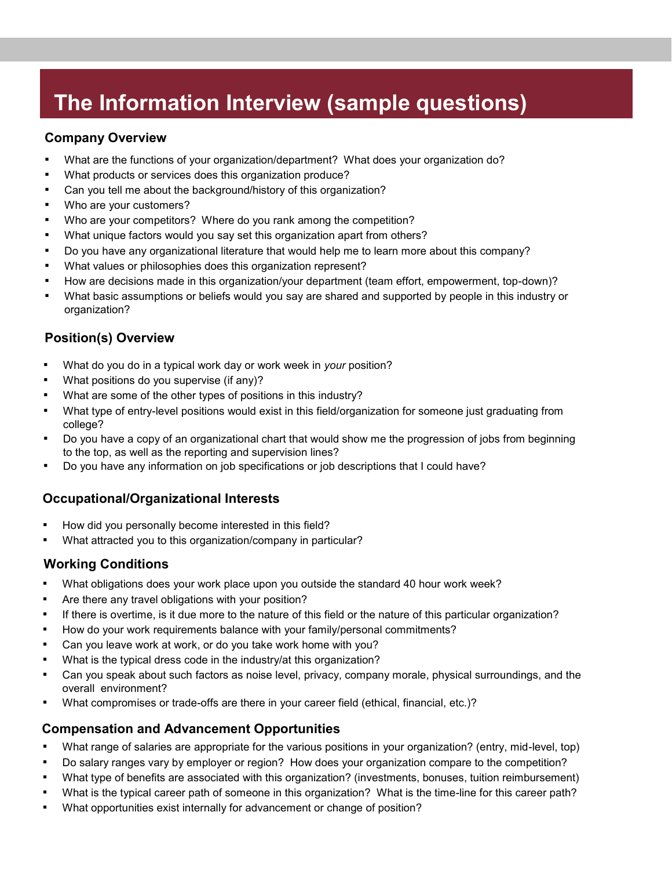### **The Information Interview (sample questions)**

#### **Company Overview**

- What are the functions of your organization/department? What does your organization do?
- What products or services does this organization produce?
- Can you tell me about the background/history of this organization?
- Who are your customers?
- Who are your competitors? Where do you rank among the competition?
- What unique factors would you say set this organization apart from others?
- Do you have any organizational literature that would help me to learn more about this company?
- What values or philosophies does this organization represent?
- How are decisions made in this organization/your department (team effort, empowerment, top-down)?
- What basic assumptions or beliefs would you say are shared and supported by people in this industry or organization?

#### **Position(s) Overview**

- What do you do in a typical work day or work week in *your* position?
- What positions do you supervise (if any)?
- What are some of the other types of positions in this industry?
- What type of entry-level positions would exist in this field/organization for someone just graduating from college?
- Do you have a copy of an organizational chart that would show me the progression of jobs from beginning to the top, as well as the reporting and supervision lines?
- Do you have any information on job specifications or job descriptions that I could have?

#### **Occupational/Organizational Interests**

- How did you personally become interested in this field?
- What attracted you to this organization/company in particular?

#### **Working Conditions**

- What obligations does your work place upon you outside the standard 40 hour work week?
- Are there any travel obligations with your position?
- If there is overtime, is it due more to the nature of this field or the nature of this particular organization?
- How do your work requirements balance with your family/personal commitments?
- Can you leave work at work, or do you take work home with you?
- What is the typical dress code in the industry/at this organization?
- Can you speak about such factors as noise level, privacy, company morale, physical surroundings, and the overall environment?
- What compromises or trade-offs are there in your career field (ethical, financial, etc.)?

#### **Compensation and Advancement Opportunities**

- What range of salaries are appropriate for the various positions in your organization? (entry, mid-level, top)
- Do salary ranges vary by employer or region? How does your organization compare to the competition?
- What type of benefits are associated with this organization? (investments, bonuses, tuition reimbursement)
- What is the typical career path of someone in this organization? What is the time-line for this career path?
- What opportunities exist internally for advancement or change of position?